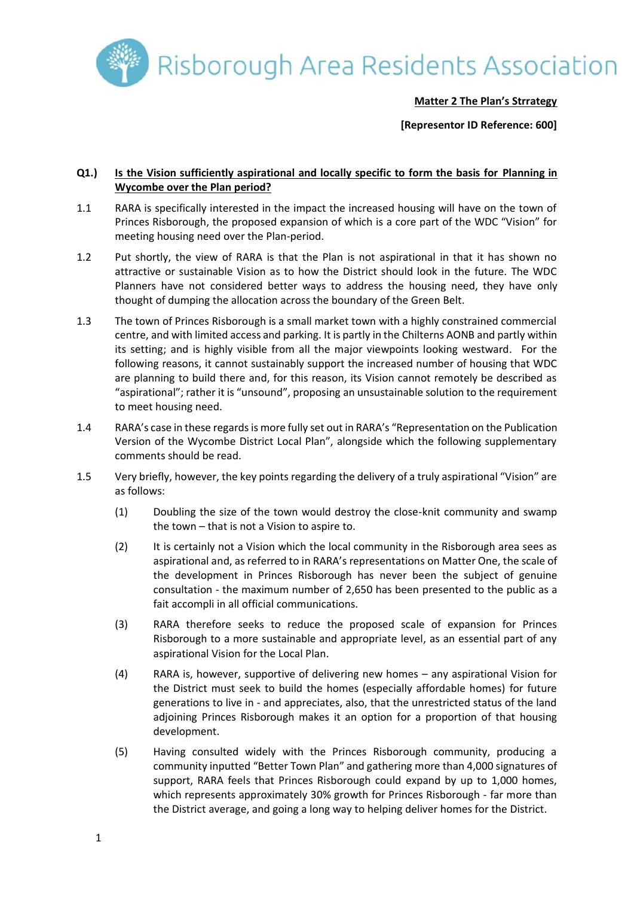

#### **Matter 2 The Plan's Strrategy**

**[Representor ID Reference: 600]**

#### **Q1.) Is the Vision sufficiently aspirational and locally specific to form the basis for Planning in Wycombe over the Plan period?**

- 1.1 RARA is specifically interested in the impact the increased housing will have on the town of Princes Risborough, the proposed expansion of which is a core part of the WDC "Vision" for meeting housing need over the Plan-period.
- 1.2 Put shortly, the view of RARA is that the Plan is not aspirational in that it has shown no attractive or sustainable Vision as to how the District should look in the future. The WDC Planners have not considered better ways to address the housing need, they have only thought of dumping the allocation across the boundary of the Green Belt.
- 1.3 The town of Princes Risborough is a small market town with a highly constrained commercial centre, and with limited access and parking. It is partly in the Chilterns AONB and partly within its setting; and is highly visible from all the major viewpoints looking westward. For the following reasons, it cannot sustainably support the increased number of housing that WDC are planning to build there and, for this reason, its Vision cannot remotely be described as "aspirational"; rather it is "unsound", proposing an unsustainable solution to the requirement to meet housing need.
- 1.4 RARA's case in these regardsis more fully set out in RARA's "Representation on the Publication Version of the Wycombe District Local Plan", alongside which the following supplementary comments should be read.
- 1.5 Very briefly, however, the key points regarding the delivery of a truly aspirational "Vision" are as follows:
	- (1) Doubling the size of the town would destroy the close-knit community and swamp the town – that is not a Vision to aspire to.
	- (2) It is certainly not a Vision which the local community in the Risborough area sees as aspirational and, as referred to in RARA's representations on Matter One, the scale of the development in Princes Risborough has never been the subject of genuine consultation - the maximum number of 2,650 has been presented to the public as a fait accompli in all official communications.
	- (3) RARA therefore seeks to reduce the proposed scale of expansion for Princes Risborough to a more sustainable and appropriate level, as an essential part of any aspirational Vision for the Local Plan.
	- (4) RARA is, however, supportive of delivering new homes any aspirational Vision for the District must seek to build the homes (especially affordable homes) for future generations to live in - and appreciates, also, that the unrestricted status of the land adjoining Princes Risborough makes it an option for a proportion of that housing development.
	- (5) Having consulted widely with the Princes Risborough community, producing a community inputted "Better Town Plan" and gathering more than 4,000 signatures of support, RARA feels that Princes Risborough could expand by up to 1,000 homes, which represents approximately 30% growth for Princes Risborough - far more than the District average, and going a long way to helping deliver homes for the District.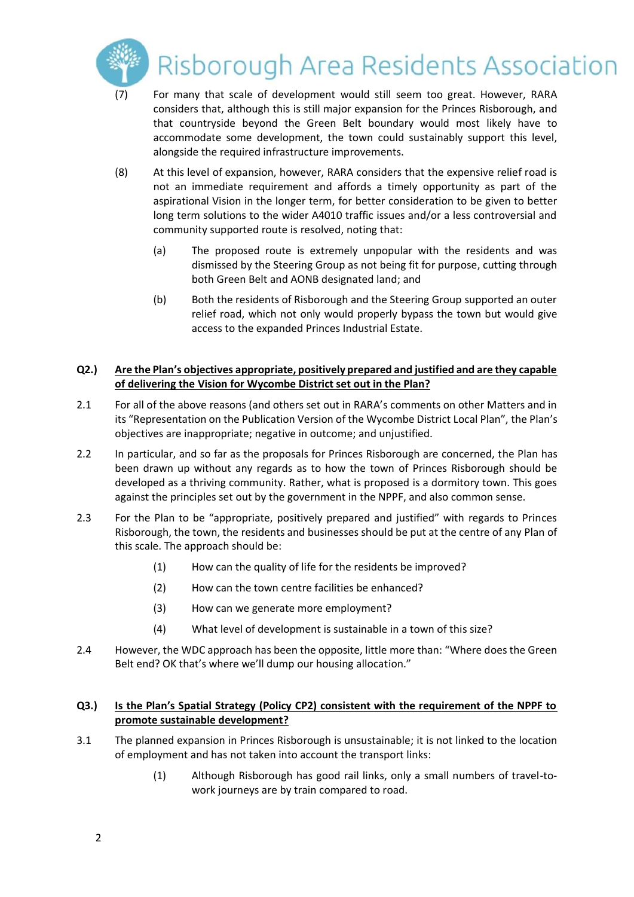

## Risborough Area Residents Association

- (7) For many that scale of development would still seem too great. However, RARA considers that, although this is still major expansion for the Princes Risborough, and that countryside beyond the Green Belt boundary would most likely have to accommodate some development, the town could sustainably support this level, alongside the required infrastructure improvements.
- (8) At this level of expansion, however, RARA considers that the expensive relief road is not an immediate requirement and affords a timely opportunity as part of the aspirational Vision in the longer term, for better consideration to be given to better long term solutions to the wider A4010 traffic issues and/or a less controversial and community supported route is resolved, noting that:
	- (a) The proposed route is extremely unpopular with the residents and was dismissed by the Steering Group as not being fit for purpose, cutting through both Green Belt and AONB designated land; and
	- (b) Both the residents of Risborough and the Steering Group supported an outer relief road, which not only would properly bypass the town but would give access to the expanded Princes Industrial Estate.

#### **Q2.) Are the Plan's objectives appropriate, positively prepared and justified and are they capable of delivering the Vision for Wycombe District set out in the Plan?**

- 2.1 For all of the above reasons (and others set out in RARA's comments on other Matters and in its "Representation on the Publication Version of the Wycombe District Local Plan", the Plan's objectives are inappropriate; negative in outcome; and unjustified.
- 2.2 In particular, and so far as the proposals for Princes Risborough are concerned, the Plan has been drawn up without any regards as to how the town of Princes Risborough should be developed as a thriving community. Rather, what is proposed is a dormitory town. This goes against the principles set out by the government in the NPPF, and also common sense.
- 2.3 For the Plan to be "appropriate, positively prepared and justified" with regards to Princes Risborough, the town, the residents and businesses should be put at the centre of any Plan of this scale. The approach should be:
	- (1) How can the quality of life for the residents be improved?
	- (2) How can the town centre facilities be enhanced?
	- (3) How can we generate more employment?
	- (4) What level of development is sustainable in a town of this size?
- 2.4 However, the WDC approach has been the opposite, little more than: "Where does the Green Belt end? OK that's where we'll dump our housing allocation."

### **Q3.) Is the Plan's Spatial Strategy (Policy CP2) consistent with the requirement of the NPPF to promote sustainable development?**

- 3.1 The planned expansion in Princes Risborough is unsustainable; it is not linked to the location of employment and has not taken into account the transport links:
	- (1) Although Risborough has good rail links, only a small numbers of travel-towork journeys are by train compared to road.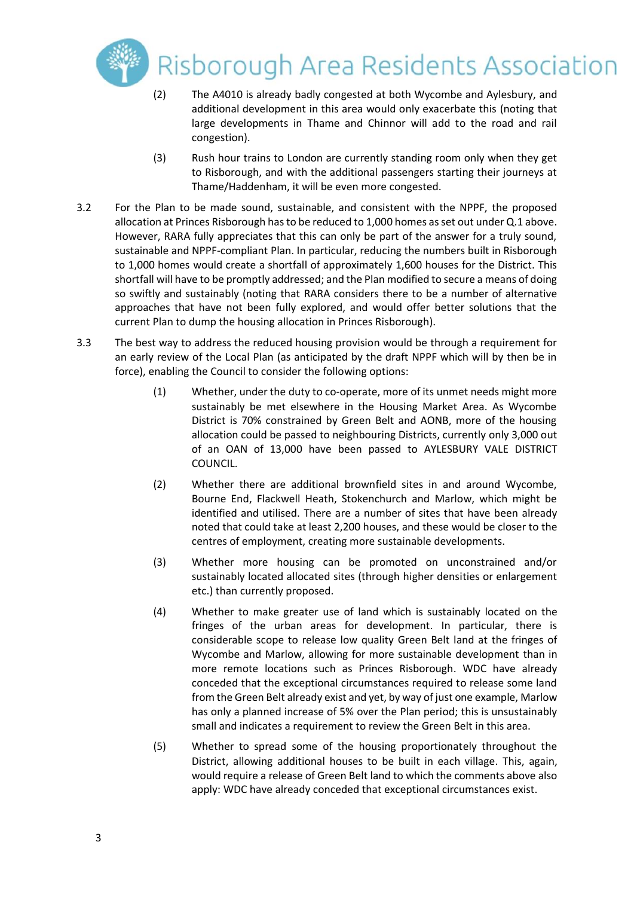

# Risborough Area Residents Association

- (2) The A4010 is already badly congested at both Wycombe and Aylesbury, and additional development in this area would only exacerbate this (noting that large developments in Thame and Chinnor will add to the road and rail congestion).
- (3) Rush hour trains to London are currently standing room only when they get to Risborough, and with the additional passengers starting their journeys at Thame/Haddenham, it will be even more congested.
- 3.2 For the Plan to be made sound, sustainable, and consistent with the NPPF, the proposed allocation at Princes Risborough hasto be reduced to 1,000 homes as set out under Q.1 above. However, RARA fully appreciates that this can only be part of the answer for a truly sound, sustainable and NPPF-compliant Plan. In particular, reducing the numbers built in Risborough to 1,000 homes would create a shortfall of approximately 1,600 houses for the District. This shortfall will have to be promptly addressed; and the Plan modified to secure a means of doing so swiftly and sustainably (noting that RARA considers there to be a number of alternative approaches that have not been fully explored, and would offer better solutions that the current Plan to dump the housing allocation in Princes Risborough).
- 3.3 The best way to address the reduced housing provision would be through a requirement for an early review of the Local Plan (as anticipated by the draft NPPF which will by then be in force), enabling the Council to consider the following options:
	- (1) Whether, under the duty to co-operate, more of its unmet needs might more sustainably be met elsewhere in the Housing Market Area. As Wycombe District is 70% constrained by Green Belt and AONB, more of the housing allocation could be passed to neighbouring Districts, currently only 3,000 out of an OAN of 13,000 have been passed to AYLESBURY VALE DISTRICT COUNCIL.
	- (2) Whether there are additional brownfield sites in and around Wycombe, Bourne End, Flackwell Heath, Stokenchurch and Marlow, which might be identified and utilised. There are a number of sites that have been already noted that could take at least 2,200 houses, and these would be closer to the centres of employment, creating more sustainable developments.
	- (3) Whether more housing can be promoted on unconstrained and/or sustainably located allocated sites (through higher densities or enlargement etc.) than currently proposed.
	- (4) Whether to make greater use of land which is sustainably located on the fringes of the urban areas for development. In particular, there is considerable scope to release low quality Green Belt land at the fringes of Wycombe and Marlow, allowing for more sustainable development than in more remote locations such as Princes Risborough. WDC have already conceded that the exceptional circumstances required to release some land from the Green Belt already exist and yet, by way of just one example, Marlow has only a planned increase of 5% over the Plan period; this is unsustainably small and indicates a requirement to review the Green Belt in this area.
	- (5) Whether to spread some of the housing proportionately throughout the District, allowing additional houses to be built in each village. This, again, would require a release of Green Belt land to which the comments above also apply: WDC have already conceded that exceptional circumstances exist.